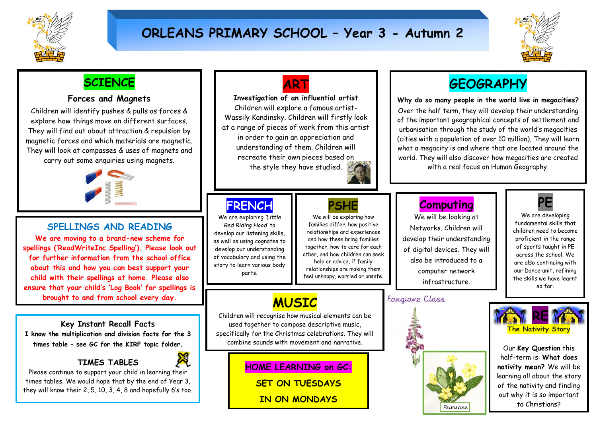

# **ORLEANS PRIMARY SCHOOL – Year 3 - Autumn 2**



## **SCIENCE**

### **Forces and Magnets**

Children will identify pushes & pulls as forces & explore how things move on different surfaces. They will find out about attraction & repulsion by magnetic forces and which materials are magnetic. They will look at compasses & uses of magnets and carry out some enquiries using magnets.



### **SPELLINGS AND READING**

**We are moving to a brand-new scheme for spellings ('ReadWriteInc Spelling'). Please look out for further information from the school office about this and how you can best support your child with their spellings at home. Please also ensure that your child's 'Log Book' for spellings is brought to and from school every day.**

**Key Instant Recall Facts I know the multiplication and division facts for the 3 times table – see GC for the KIRF topic folder.** 

### **TIMES TABLES**



Please continue to support your child in learning their times tables. We would hope that by the end of Year 3, they will know their 2, 5, 10, 3, 4, 8 and hopefully 6's too.



**Investigation of an influential artist** Children will explore a famous artist-Wassily Kandinsky. Children will firstly look at a range of pieces of work from this artist in order to gain an appreciation and understanding of them. Children will recreate their own pieces based on the style they have studied.



# **FRENCH**

We are exploring *'Little Red Riding Hood'* to develop our listening skills, as well as using cognates to develop our understanding of vocabulary and using the story to learn various body parts.

# **PSHE**

We will be exploring how families differ, how positive relationships and experiences and how these bring families together, how to care for each other, and how children can seek help or advice, if family relationships are making them feel unhappy, worried or unsafe.

# **MUSIC**

Children will recognise how musical elements can be used together to compose descriptive music, specifically for the Christmas celebrations. They will combine sounds with movement and narrative.

> **HOME LEARNING on GC: SET ON TUESDAYS**

> > **IN ON MONDAYS**

# **GEOGRAPHY**

**Why do so many people in the world live in megacities?** Over the half term, they will develop their understanding of the important geographical concepts of settlement and urbanisation through the study of the world's megacities (cities with a population of over 10 million). They will learn what a megacity is and where that are located around the world. They will also discover how megacities are created with a real focus on Human Geography.



#### **Computing** We will be looking at

Networks. Children will develop their understanding of digital devices. They will also be introduced to a computer network infrastructure.

### Foxglove Class





We are developing fundamental skills that children need to become proficient in the range of sports taught in PE across the school. We are also continuing with our Dance unit, refining the skills we have learnt so far.



Our **Key Question** this half-term is: **What does nativity mean?** We will be learning all about the story of the nativity and finding out why it is so important to Christians?